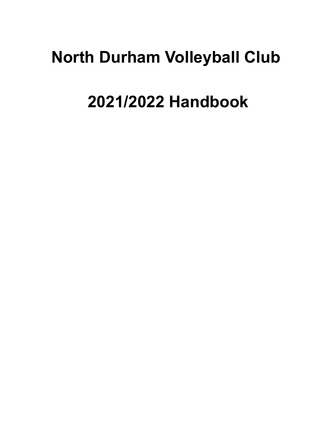## **North Durham Volleyball Club**

# **2021/2022 Handbook**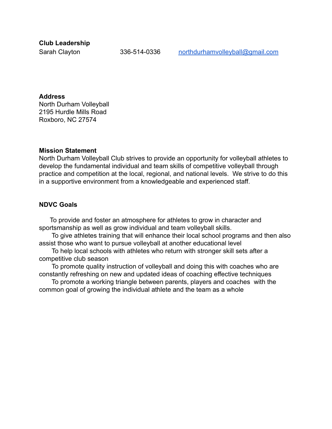**Club Leadership**

Sarah Clayton 336-514-0336 [northdurhamvolleyball@gmail.com](mailto:northdurhamvolleyball@gmail.com)

#### **Address**

North Durham Volleyball 2195 Hurdle Mills Road Roxboro, NC 27574

#### **Mission Statement**

North Durham Volleyball Club strives to provide an opportunity for volleyball athletes to develop the fundamental individual and team skills of competitive volleyball through practice and competition at the local, regional, and national levels. We strive to do this in a supportive environment from a knowledgeable and experienced staff.

#### **NDVC Goals**

To provide and foster an atmosphere for athletes to grow in character and sportsmanship as well as grow individual and team volleyball skills.

To give athletes training that will enhance their local school programs and then also assist those who want to pursue volleyball at another educational level

To help local schools with athletes who return with stronger skill sets after a competitive club season

To promote quality instruction of volleyball and doing this with coaches who are constantly refreshing on new and updated ideas of coaching effective techniques

To promote a working triangle between parents, players and coaches with the common goal of growing the individual athlete and the team as a whole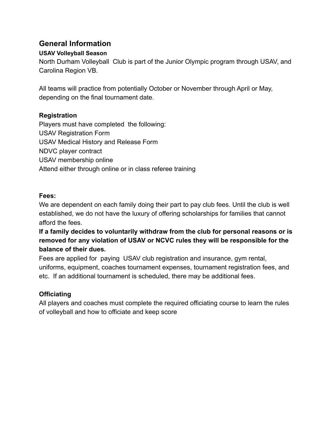## **General Information**

## **USAV Volleyball Season**

North Durham Volleyball Club is part of the Junior Olympic program through USAV, and Carolina Region VB.

All teams will practice from potentially October or November through April or May, depending on the final tournament date.

## **Registration**

Players must have completed the following: USAV Registration Form USAV Medical History and Release Form NDVC player contract USAV membership online Attend either through online or in class referee training

## **Fees:**

We are dependent on each family doing their part to pay club fees. Until the club is well established, we do not have the luxury of offering scholarships for families that cannot afford the fees.

## **If a family decides to voluntarily withdraw from the club for personal reasons or is removed for any violation of USAV or NCVC rules they will be responsible for the balance of their dues.**

Fees are applied for paying USAV club registration and insurance, gym rental, uniforms, equipment, coaches tournament expenses, tournament registration fees, and etc. If an additional tournament is scheduled, there may be additional fees.

## **Officiating**

All players and coaches must complete the required officiating course to learn the rules of volleyball and how to officiate and keep score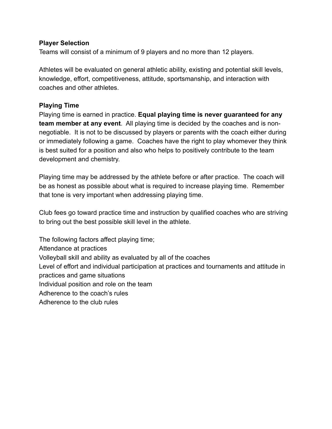#### **Player Selection**

Teams will consist of a minimum of 9 players and no more than 12 players.

Athletes will be evaluated on general athletic ability, existing and potential skill levels, knowledge, effort, competitiveness, attitude, sportsmanship, and interaction with coaches and other athletes.

#### **Playing Time**

Playing time is earned in practice. **Equal playing time is never guaranteed for any team member at any event**. All playing time is decided by the coaches and is nonnegotiable. It is not to be discussed by players or parents with the coach either during or immediately following a game. Coaches have the right to play whomever they think is best suited for a position and also who helps to positively contribute to the team development and chemistry.

Playing time may be addressed by the athlete before or after practice. The coach will be as honest as possible about what is required to increase playing time. Remember that tone is very important when addressing playing time.

Club fees go toward practice time and instruction by qualified coaches who are striving to bring out the best possible skill level in the athlete.

The following factors affect playing time; Attendance at practices Volleyball skill and ability as evaluated by all of the coaches Level of effort and individual participation at practices and tournaments and attitude in practices and game situations Individual position and role on the team Adherence to the coach's rules Adherence to the club rules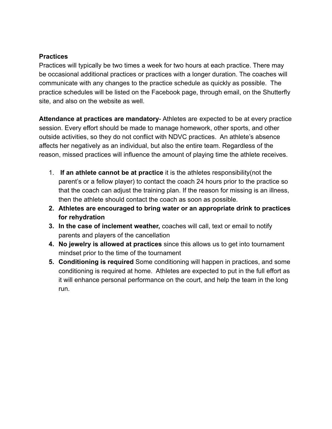## **Practices**

Practices will typically be two times a week for two hours at each practice. There may be occasional additional practices or practices with a longer duration. The coaches will communicate with any changes to the practice schedule as quickly as possible. The practice schedules will be listed on the Facebook page, through email, on the Shutterfly site, and also on the website as well.

**Attendance at practices are mandatory**- Athletes are expected to be at every practice session. Every effort should be made to manage homework, other sports, and other outside activities, so they do not conflict with NDVC practices. An athlete's absence affects her negatively as an individual, but also the entire team. Regardless of the reason, missed practices will influence the amount of playing time the athlete receives.

- 1. **If an athlete cannot be at practice** it is the athletes responsibility(not the parent's or a fellow player) to contact the coach 24 hours prior to the practice so that the coach can adjust the training plan. If the reason for missing is an illness, then the athlete should contact the coach as soon as possible.
- **2. Athletes are encouraged to bring water or an appropriate drink to practices for rehydration**
- **3. In the case of inclement weather,** coaches will call, text or email to notify parents and players of the cancellation
- **4. No jewelry is allowed at practices** since this allows us to get into tournament mindset prior to the time of the tournament
- **5. Conditioning is required** Some conditioning will happen in practices, and some conditioning is required at home. Athletes are expected to put in the full effort as it will enhance personal performance on the court, and help the team in the long run.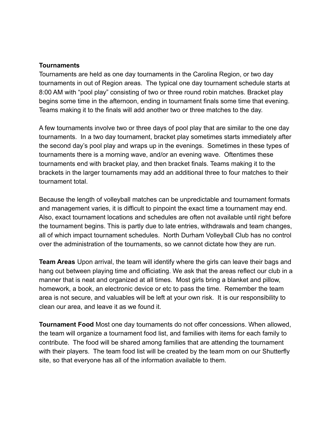#### **Tournaments**

Tournaments are held as one day tournaments in the Carolina Region, or two day tournaments in out of Region areas. The typical one day tournament schedule starts at 8:00 AM with "pool play" consisting of two or three round robin matches. Bracket play begins some time in the afternoon, ending in tournament finals some time that evening. Teams making it to the finals will add another two or three matches to the day.

A few tournaments involve two or three days of pool play that are similar to the one day tournaments. In a two day tournament, bracket play sometimes starts immediately after the second day's pool play and wraps up in the evenings. Sometimes in these types of tournaments there is a morning wave, and/or an evening wave. Oftentimes these tournaments end with bracket play, and then bracket finals. Teams making it to the brackets in the larger tournaments may add an additional three to four matches to their tournament total.

Because the length of volleyball matches can be unpredictable and tournament formats and management varies, it is difficult to pinpoint the exact time a tournament may end. Also, exact tournament locations and schedules are often not available until right before the tournament begins. This is partly due to late entries, withdrawals and team changes, all of which impact tournament schedules. North Durham Volleyball Club has no control over the administration of the tournaments, so we cannot dictate how they are run.

**Team Areas** Upon arrival, the team will identify where the girls can leave their bags and hang out between playing time and officiating. We ask that the areas reflect our club in a manner that is neat and organized at all times. Most girls bring a blanket and pillow, homework, a book, an electronic device or etc to pass the time. Remember the team area is not secure, and valuables will be left at your own risk. It is our responsibility to clean our area, and leave it as we found it.

**Tournament Food** Most one day tournaments do not offer concessions. When allowed, the team will organize a tournament food list, and families with items for each family to contribute. The food will be shared among families that are attending the tournament with their players. The team food list will be created by the team mom on our Shutterfly site, so that everyone has all of the information available to them.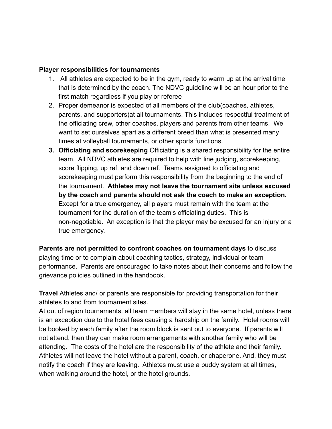## **Player responsibilities for tournaments**

- 1. All athletes are expected to be in the gym, ready to warm up at the arrival time that is determined by the coach. The NDVC guideline will be an hour prior to the first match regardless if you play or referee
- 2. Proper demeanor is expected of all members of the club(coaches, athletes, parents, and supporters)at all tournaments. This includes respectful treatment of the officiating crew, other coaches, players and parents from other teams. We want to set ourselves apart as a different breed than what is presented many times at volleyball tournaments, or other sports functions.
- **3. Officiating and scorekeeping** Officiating is a shared responsibility for the entire team. All NDVC athletes are required to help with line judging, scorekeeping, score flipping, up ref, and down ref. Teams assigned to officiating and scorekeeping must perform this responsibility from the beginning to the end of the tournament. **Athletes may not leave the tournament site unless excused by the coach and parents should not ask the coach to make an exception.** Except for a true emergency, all players must remain with the team at the tournament for the duration of the team's officiating duties. This is non-negotiable. An exception is that the player may be excused for an injury or a true emergency.

**Parents are not permitted to confront coaches on tournament days** to discuss playing time or to complain about coaching tactics, strategy, individual or team performance. Parents are encouraged to take notes about their concerns and follow the grievance policies outlined in the handbook.

**Travel** Athletes and/ or parents are responsible for providing transportation for their athletes to and from tournament sites.

At out of region tournaments, all team members will stay in the same hotel, unless there is an exception due to the hotel fees causing a hardship on the family. Hotel rooms will be booked by each family after the room block is sent out to everyone. If parents will not attend, then they can make room arrangements with another family who will be attending. The costs of the hotel are the responsibility of the athlete and their family. Athletes will not leave the hotel without a parent, coach, or chaperone. And, they must notify the coach if they are leaving. Athletes must use a buddy system at all times, when walking around the hotel, or the hotel grounds.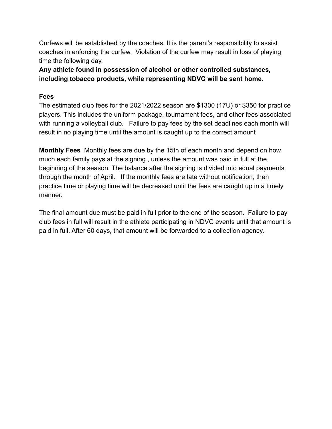Curfews will be established by the coaches. It is the parent's responsibility to assist coaches in enforcing the curfew. Violation of the curfew may result in loss of playing time the following day.

**Any athlete found in possession of alcohol or other controlled substances, including tobacco products, while representing NDVC will be sent home.**

### **Fees**

The estimated club fees for the 2021/2022 season are \$1300 (17U) or \$350 for practice players. This includes the uniform package, tournament fees, and other fees associated with running a volleyball club. Failure to pay fees by the set deadlines each month will result in no playing time until the amount is caught up to the correct amount

**Monthly Fees** Monthly fees are due by the 15th of each month and depend on how much each family pays at the signing , unless the amount was paid in full at the beginning of the season. The balance after the signing is divided into equal payments through the month of April. If the monthly fees are late without notification, then practice time or playing time will be decreased until the fees are caught up in a timely manner.

The final amount due must be paid in full prior to the end of the season. Failure to pay club fees in full will result in the athlete participating in NDVC events until that amount is paid in full. After 60 days, that amount will be forwarded to a collection agency.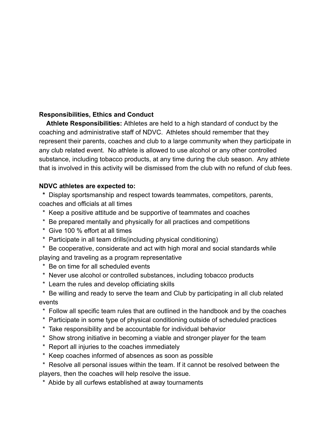## **Responsibilities, Ethics and Conduct**

**Athlete Responsibilities:** Athletes are held to a high standard of conduct by the coaching and administrative staff of NDVC. Athletes should remember that they represent their parents, coaches and club to a large community when they participate in any club related event. No athlete is allowed to use alcohol or any other controlled substance, including tobacco products, at any time during the club season. Any athlete that is involved in this activity will be dismissed from the club with no refund of club fees.

## **NDVC athletes are expected to:**

**\*** Display sportsmanship and respect towards teammates, competitors, parents, coaches and officials at all times

- \* Keep a positive attitude and be supportive of teammates and coaches
- \* Be prepared mentally and physically for all practices and competitions
- \* Give 100 % effort at all times
- \* Participate in all team drills(including physical conditioning)
- \* Be cooperative, considerate and act with high moral and social standards while playing and traveling as a program representative
- \* Be on time for all scheduled events
- \* Never use alcohol or controlled substances, including tobacco products
- \* Learn the rules and develop officiating skills
- \* Be willing and ready to serve the team and Club by participating in all club related events
	- \* Follow all specific team rules that are outlined in the handbook and by the coaches
- \* Participate in some type of physical conditioning outside of scheduled practices
- \* Take responsibility and be accountable for individual behavior
- \* Show strong initiative in becoming a viable and stronger player for the team
- \* Report all injuries to the coaches immediately
- \* Keep coaches informed of absences as soon as possible
- \* Resolve all personal issues within the team. If it cannot be resolved between the players, then the coaches will help resolve the issue.
- \* Abide by all curfews established at away tournaments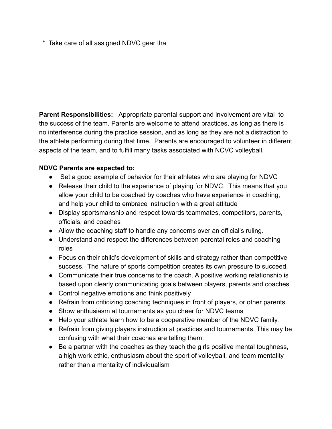\* Take care of all assigned NDVC gear tha

**Parent Responsibilities:** Appropriate parental support and involvement are vital to the success of the team. Parents are welcome to attend practices, as long as there is no interference during the practice session, and as long as they are not a distraction to the athlete performing during that time. Parents are encouraged to volunteer in different aspects of the team, and to fulfill many tasks associated with NCVC volleyball.

## **NDVC Parents are expected to:**

- **●** Set a good example of behavior for their athletes who are playing for NDVC
- Release their child to the experience of playing for NDVC. This means that you allow your child to be coached by coaches who have experience in coaching, and help your child to embrace instruction with a great attitude
- Display sportsmanship and respect towards teammates, competitors, parents, officials, and coaches
- Allow the coaching staff to handle any concerns over an official's ruling.
- Understand and respect the differences between parental roles and coaching roles
- Focus on their child's development of skills and strategy rather than competitive success. The nature of sports competition creates its own pressure to succeed.
- Communicate their true concerns to the coach. A positive working relationship is based upon clearly communicating goals between players, parents and coaches
- Control negative emotions and think positively
- Refrain from criticizing coaching techniques in front of players, or other parents.
- Show enthusiasm at tournaments as you cheer for NDVC teams
- Help your athlete learn how to be a cooperative member of the NDVC family.
- Refrain from giving players instruction at practices and tournaments. This may be confusing with what their coaches are telling them.
- Be a partner with the coaches as they teach the girls positive mental toughness, a high work ethic, enthusiasm about the sport of volleyball, and team mentality rather than a mentality of individualism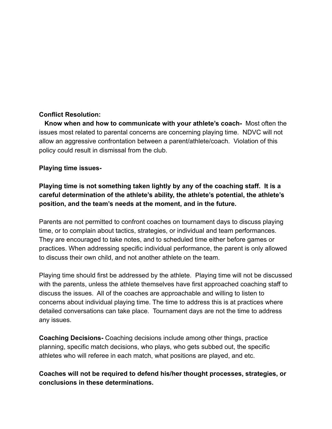## **Conflict Resolution:**

**Know when and how to communicate with your athlete's coach-** Most often the issues most related to parental concerns are concerning playing time. NDVC will not allow an aggressive confrontation between a parent/athlete/coach. Violation of this policy could result in dismissal from the club.

#### **Playing time issues-**

## **Playing time is not something taken lightly by any of the coaching staff. It is a careful determination of the athlete's ability, the athlete's potential, the athlete's position, and the team's needs at the moment, and in the future.**

Parents are not permitted to confront coaches on tournament days to discuss playing time, or to complain about tactics, strategies, or individual and team performances. They are encouraged to take notes, and to scheduled time either before games or practices. When addressing specific individual performance, the parent is only allowed to discuss their own child, and not another athlete on the team.

Playing time should first be addressed by the athlete. Playing time will not be discussed with the parents, unless the athlete themselves have first approached coaching staff to discuss the issues. All of the coaches are approachable and willing to listen to concerns about individual playing time. The time to address this is at practices where detailed conversations can take place. Tournament days are not the time to address any issues.

**Coaching Decisions-** Coaching decisions include among other things, practice planning, specific match decisions, who plays, who gets subbed out, the specific athletes who will referee in each match, what positions are played, and etc.

**Coaches will not be required to defend his/her thought processes, strategies, or conclusions in these determinations.**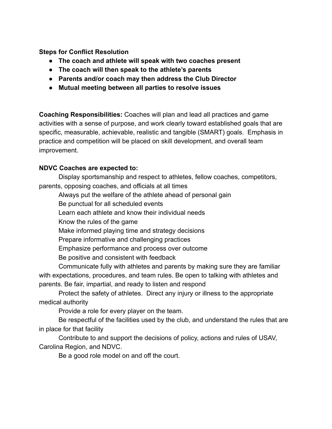**Steps for Conflict Resolution**

- **● The coach and athlete will speak with two coaches present**
- **● The coach will then speak to the athlete's parents**
- **● Parents and/or coach may then address the Club Director**
- **● Mutual meeting between all parties to resolve issues**

**Coaching Responsibilities:** Coaches will plan and lead all practices and game activities with a sense of purpose, and work clearly toward established goals that are specific, measurable, achievable, realistic and tangible (SMART) goals. Emphasis in practice and competition will be placed on skill development, and overall team improvement.

## **NDVC Coaches are expected to:**

Display sportsmanship and respect to athletes, fellow coaches, competitors, parents, opposing coaches, and officials at all times

Always put the welfare of the athlete ahead of personal gain

Be punctual for all scheduled events

Learn each athlete and know their individual needs

Know the rules of the game

Make informed playing time and strategy decisions

Prepare informative and challenging practices

Emphasize performance and process over outcome

Be positive and consistent with feedback

Communicate fully with athletes and parents by making sure they are familiar with expectations, procedures, and team rules. Be open to talking with athletes and parents. Be fair, impartial, and ready to listen and respond

Protect the safety of athletes. Direct any injury or illness to the appropriate medical authority

Provide a role for every player on the team.

Be respectful of the facilities used by the club, and understand the rules that are in place for that facility

Contribute to and support the decisions of policy, actions and rules of USAV, Carolina Region, and NDVC.

Be a good role model on and off the court.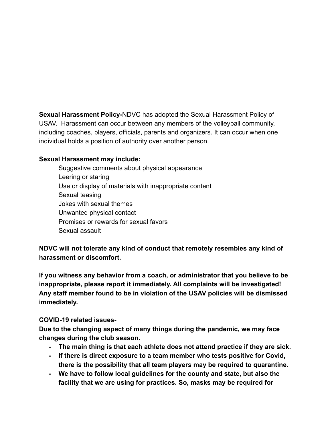**Sexual Harassment Policy-**NDVC has adopted the Sexual Harassment Policy of USAV. Harassment can occur between any members of the volleyball community, including coaches, players, officials, parents and organizers. It can occur when one individual holds a position of authority over another person.

## **Sexual Harassment may include:**

Suggestive comments about physical appearance Leering or staring Use or display of materials with inappropriate content Sexual teasing Jokes with sexual themes Unwanted physical contact Promises or rewards for sexual favors Sexual assault

**NDVC will not tolerate any kind of conduct that remotely resembles any kind of harassment or discomfort.**

**If you witness any behavior from a coach, or administrator that you believe to be inappropriate, please report it immediately. All complaints will be investigated! Any staff member found to be in violation of the USAV policies will be dismissed immediately.**

## **COVID-19 related issues-**

**Due to the changing aspect of many things during the pandemic, we may face changes during the club season.**

- **- The main thing is that each athlete does not attend practice if they are sick.**
- **- If there is direct exposure to a team member who tests positive for Covid, there is the possibility that all team players may be required to quarantine.**
- **- We have to follow local guidelines for the county and state, but also the facility that we are using for practices. So, masks may be required for**